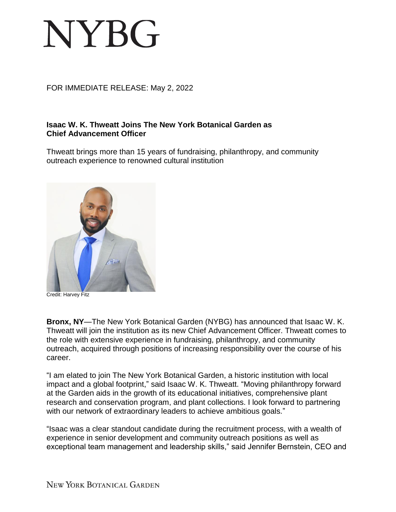## **NYBG**

## FOR IMMEDIATE RELEASE: May 2, 2022

## **Isaac W. K. Thweatt Joins The New York Botanical Garden as Chief Advancement Officer**

Thweatt brings more than 15 years of fundraising, philanthropy, and community outreach experience to renowned cultural institution



Credit: Harvey Fitz

**Bronx, NY**—The New York Botanical Garden (NYBG) has announced that Isaac W. K. Thweatt will join the institution as its new Chief Advancement Officer. Thweatt comes to the role with extensive experience in fundraising, philanthropy, and community outreach, acquired through positions of increasing responsibility over the course of his career.

"I am elated to join The New York Botanical Garden, a historic institution with local impact and a global footprint," said Isaac W. K. Thweatt. "Moving philanthropy forward at the Garden aids in the growth of its educational initiatives, comprehensive plant research and conservation program, and plant collections. I look forward to partnering with our network of extraordinary leaders to achieve ambitious goals."

"Isaac was a clear standout candidate during the recruitment process, with a wealth of experience in senior development and community outreach positions as well as exceptional team management and leadership skills," said Jennifer Bernstein, CEO and